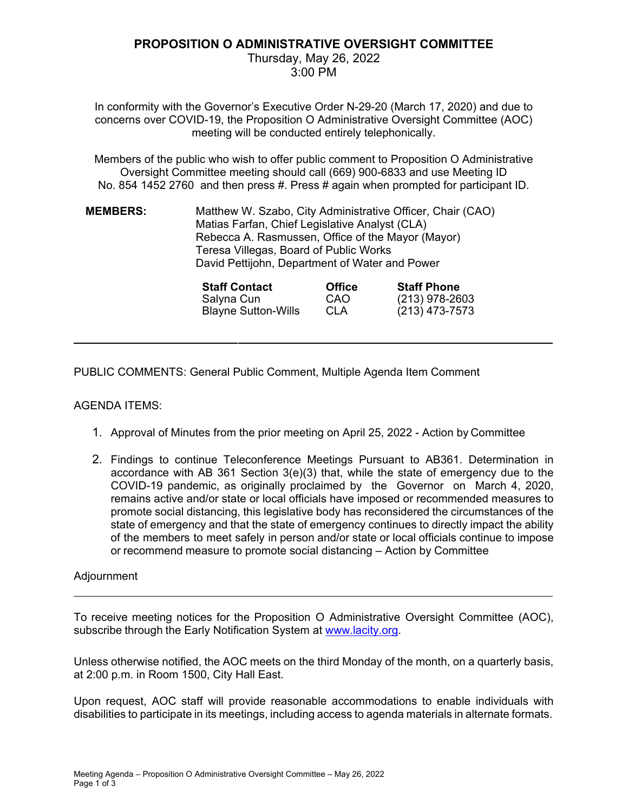# **PROPOSITION O ADMINISTRATIVE OVERSIGHT COMMITTEE**

Thursday, May 26, 2022 3:00 PM

In conformity with the Governor's Executive Order N-29-20 (March 17, 2020) and due to concerns over COVID-19, the Proposition O Administrative Oversight Committee (AOC) meeting will be conducted entirely telephonically.

Members of the public who wish to offer public comment to Proposition O Administrative Oversight Committee meeting should call (669) 900-6833 and use Meeting ID No. 854 1452 2760 and then press #. Press # again when prompted for participant ID.

**MEMBERS:** Matthew W. Szabo, City Administrative Officer, Chair (CAO) Matias Farfan, Chief Legislative Analyst (CLA) Rebecca A. Rasmussen, Office of the Mayor (Mayor) Teresa Villegas, Board of Public Works David Pettijohn, Department of Water and Power

| <b>Staff Contact</b>       | <b>Office</b> | <b>Staff Phone</b> |
|----------------------------|---------------|--------------------|
| Salyna Cun                 | CAO           | $(213)$ 978-2603   |
| <b>Blayne Sutton-Wills</b> | <b>CLA</b>    | (213) 473-7573     |

PUBLIC COMMENTS: General Public Comment, Multiple Agenda Item Comment

# AGENDA ITEMS:

- 1. Approval of Minutes from the prior meeting on April 25, 2022 Action by Committee
- 2. Findings to continue Teleconference Meetings Pursuant to AB361. Determination in accordance with AB 361 Section  $3(e)(3)$  that, while the state of emergency due to the COVID-19 pandemic, as originally proclaimed by the Governor on March 4, 2020, remains active and/or state or local officials have imposed or recommended measures to promote social distancing, this legislative body has reconsidered the circumstances of the state of emergency and that the state of emergency continues to directly impact the ability of the members to meet safely in person and/or state or local officials continue to impose or recommend measure to promote social distancing – Action by Committee

## Adjournment

To receive meeting notices for the Proposition O Administrative Oversight Committee (AOC), subscribe through the Early Notification System at www.lacity.org.

Unless otherwise notified, the AOC meets on the third Monday of the month, on a quarterly basis, at 2:00 p.m. in Room 1500, City Hall East.

Upon request, AOC staff will provide reasonable accommodations to enable individuals with disabilities to participate in its meetings, including access to agenda materials in alternate formats.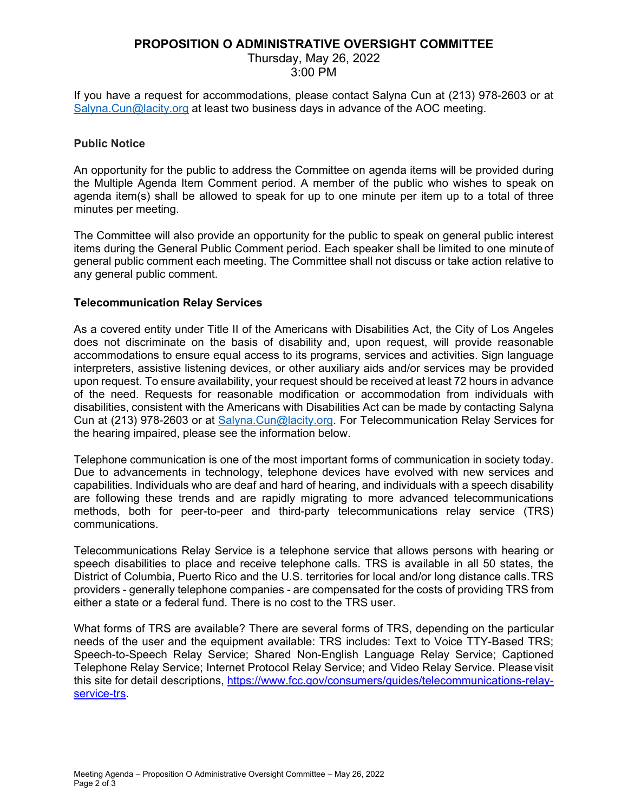# **PROPOSITION O ADMINISTRATIVE OVERSIGHT COMMITTEE**

# Thursday, May 26, 2022

3:00 PM

If you have a request for accommodations, please contact Salyna Cun at (213) 978-2603 or at Salyna.Cun@lacity.org at least two business days in advance of the AOC meeting.

## **Public Notice**

An opportunity for the public to address the Committee on agenda items will be provided during the Multiple Agenda Item Comment period. A member of the public who wishes to speak on agenda item(s) shall be allowed to speak for up to one minute per item up to a total of three minutes per meeting.

The Committee will also provide an opportunity for the public to speak on general public interest items during the General Public Comment period. Each speaker shall be limited to one minute of general public comment each meeting. The Committee shall not discuss or take action relative to any general public comment.

## **Telecommunication Relay Services**

As a covered entity under Title II of the Americans with Disabilities Act, the City of Los Angeles does not discriminate on the basis of disability and, upon request, will provide reasonable accommodations to ensure equal access to its programs, services and activities. Sign language interpreters, assistive listening devices, or other auxiliary aids and/or services may be provided upon request. To ensure availability, your request should be received at least 72 hours in advance of the need. Requests for reasonable modification or accommodation from individuals with disabilities, consistent with the Americans with Disabilities Act can be made by contacting Salyna Cun at (213) 978-2603 or at Salyna.Cun@lacity.org. For Telecommunication Relay Services for the hearing impaired, please see the information below.

Telephone communication is one of the most important forms of communication in society today. Due to advancements in technology, telephone devices have evolved with new services and capabilities. Individuals who are deaf and hard of hearing, and individuals with a speech disability are following these trends and are rapidly migrating to more advanced telecommunications methods, both for peer-to-peer and third-party telecommunications relay service (TRS) communications.

Telecommunications Relay Service is a telephone service that allows persons with hearing or speech disabilities to place and receive telephone calls. TRS is available in all 50 states, the District of Columbia, Puerto Rico and the U.S. territories for local and/or long distance calls. TRS providers - generally telephone companies - are compensated for the costs of providing TRS from either a state or a federal fund. There is no cost to the TRS user.

What forms of TRS are available? There are several forms of TRS, depending on the particular needs of the user and the equipment available: TRS includes: Text to Voice TTY-Based TRS; Speech-to-Speech Relay Service; Shared Non-English Language Relay Service; Captioned Telephone Relay Service; Internet Protocol Relay Service; and Video Relay Service. Please visit this site for detail descriptions, https://www.fcc.gov/consumers/guides/telecommunications-relayservice-trs.